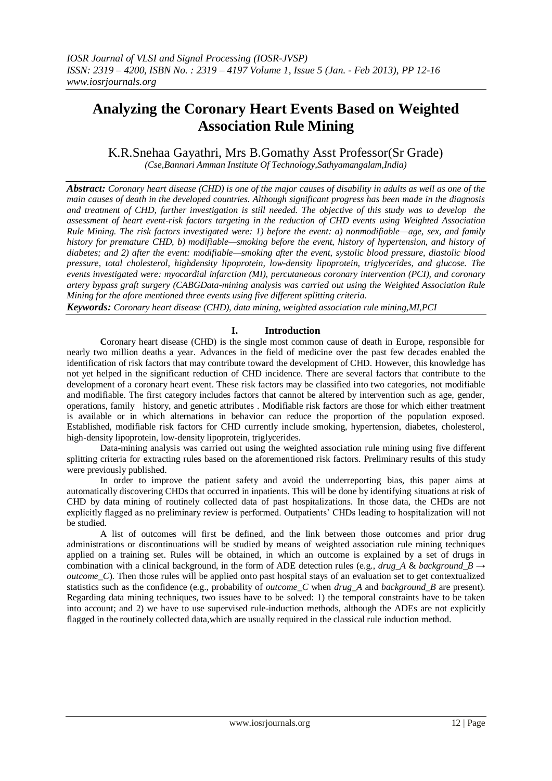# **Analyzing the Coronary Heart Events Based on Weighted Association Rule Mining**

K.R.Snehaa Gayathri, Mrs B.Gomathy Asst Professor(Sr Grade)

*(Cse,Bannari Amman Institute Of Technology,Sathyamangalam,India)*

*Abstract: Coronary heart disease (CHD) is one of the major causes of disability in adults as well as one of the main causes of death in the developed countries. Although significant progress has been made in the diagnosis and treatment of CHD, further investigation is still needed. The objective of this study was to develop the assessment of heart event-risk factors targeting in the reduction of CHD events using Weighted Association Rule Mining. The risk factors investigated were: 1) before the event: a) nonmodifiable—age, sex, and family history for premature CHD, b) modifiable—smoking before the event, history of hypertension, and history of diabetes; and 2) after the event: modifiable—smoking after the event, systolic blood pressure, diastolic blood pressure, total cholesterol, highdensity lipoprotein, low-density lipoprotein, triglycerides, and glucose. The events investigated were: myocardial infarction (MI), percutaneous coronary intervention (PCI), and coronary artery bypass graft surgery (CABGData-mining analysis was carried out using the Weighted Association Rule Mining for the afore mentioned three events using five different splitting criteria.*

*Keywords: Coronary heart disease (CHD), data mining, weighted association rule mining,MI,PCI*

## **I. Introduction**

Coronary heart disease (CHD) is the single most common cause of death in Europe, responsible for nearly two million deaths a year. Advances in the field of medicine over the past few decades enabled the identification of risk factors that may contribute toward the development of CHD. However, this knowledge has not yet helped in the significant reduction of CHD incidence. There are several factors that contribute to the development of a coronary heart event. These risk factors may be classified into two categories, not modifiable and modifiable. The first category includes factors that cannot be altered by intervention such as age, gender, operations, family history, and genetic attributes . Modifiable risk factors are those for which either treatment is available or in which alternations in behavior can reduce the proportion of the population exposed. Established, modifiable risk factors for CHD currently include smoking, hypertension, diabetes, cholesterol, high-density lipoprotein, low-density lipoprotein, triglycerides.

Data-mining analysis was carried out using the weighted association rule mining using five different splitting criteria for extracting rules based on the aforementioned risk factors. Preliminary results of this study were previously published.

In order to improve the patient safety and avoid the underreporting bias, this paper aims at automatically discovering CHDs that occurred in inpatients. This will be done by identifying situations at risk of CHD by data mining of routinely collected data of past hospitalizations. In those data, the CHDs are not explicitly flagged as no preliminary review is performed. Outpatients' CHDs leading to hospitalization will not be studied.

A list of outcomes will first be defined, and the link between those outcomes and prior drug administrations or discontinuations will be studied by means of weighted association rule mining techniques applied on a training set. Rules will be obtained, in which an outcome is explained by a set of drugs in combination with a clinical background, in the form of ADE detection rules (e.g., *drug A & background B*  $\rightarrow$ *outcome\_C*). Then those rules will be applied onto past hospital stays of an evaluation set to get contextualized statistics such as the confidence (e.g., probability of *outcome\_C* when *drug\_A* and *background\_B* are present). Regarding data mining techniques, two issues have to be solved: 1) the temporal constraints have to be taken into account; and 2) we have to use supervised rule-induction methods, although the ADEs are not explicitly flagged in the routinely collected data,which are usually required in the classical rule induction method.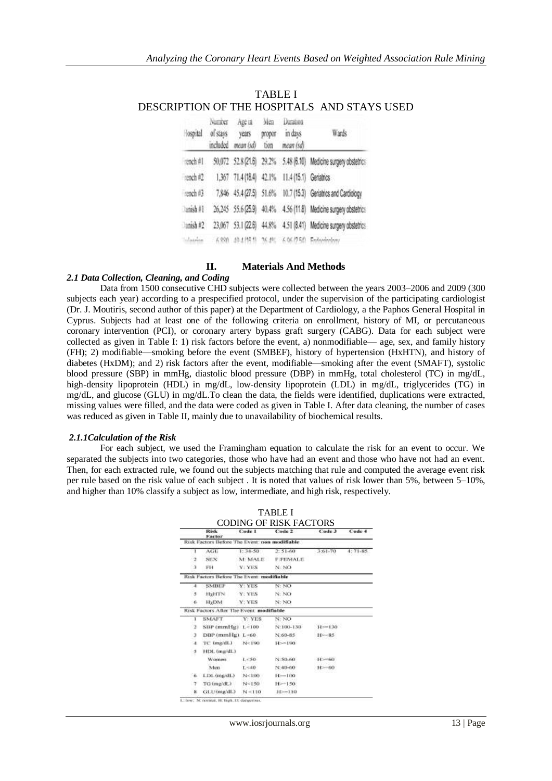| <b>Rospital</b> | Number<br>of stays | Age in Men<br>years<br>included mean (sd) | propor<br>tion | Duration<br>in days<br>mean (sd)               | Wards                                                            |  |
|-----------------|--------------------|-------------------------------------------|----------------|------------------------------------------------|------------------------------------------------------------------|--|
| reach #1        |                    |                                           |                |                                                | 50,072 52.8 (21.6) 29.2% 5.48 (6.10) Medicine surgery obstetrics |  |
| reach #2        |                    |                                           |                | 1,367 71.4 (18.4) 42.1% 11.4 (15.1) Geriatrics |                                                                  |  |
| rench#3         |                    |                                           |                |                                                | 7,846 45.4 (27.5) 51.6% 10.7 (15.3) Geriatrics and Cardiology    |  |
| Danish#1        |                    |                                           |                |                                                | 26,245 55.6 (25.9) 40.4% 4.56 (11.8) Medicine surgery obstetrics |  |
| $l$ anish #2    |                    |                                           |                |                                                | 23,067 53.1 (22.6) 44.8% 4.51 (8.41) Medicine surgery obstetrics |  |
| Silaima         |                    |                                           |                |                                                | 6.938 49.4.116.11 26.4% 6.06.12541 Enforcement                   |  |

## TABLE I DESCRIPTION OF THE HOSPITALS AND STAYS USED

## **II. Materials And Methods**

### *2.1 Data Collection, Cleaning, and Coding*

Data from 1500 consecutive CHD subjects were collected between the years 2003–2006 and 2009 (300 subjects each year) according to a prespecified protocol, under the supervision of the participating cardiologist (Dr. J. Moutiris, second author of this paper) at the Department of Cardiology, a the Paphos General Hospital in Cyprus. Subjects had at least one of the following criteria on enrollment, history of MI, or percutaneous coronary intervention (PCI), or coronary artery bypass graft surgery (CABG). Data for each subject were collected as given in Table I: 1) risk factors before the event, a) nonmodifiable— age, sex, and family history (FH); 2) modifiable—smoking before the event (SMBEF), history of hypertension (HxHTN), and history of diabetes (HxDM); and 2) risk factors after the event, modifiable—smoking after the event (SMAFT), systolic blood pressure (SBP) in mmHg, diastolic blood pressure (DBP) in mmHg, total cholesterol (TC) in mg/dL, high-density lipoprotein (HDL) in mg/dL, low-density lipoprotein (LDL) in mg/dL, triglycerides (TG) in mg/dL, and glucose (GLU) in mg/dL.To clean the data, the fields were identified, duplications were extracted, missing values were filled, and the data were coded as given in Table I. After data cleaning, the number of cases was reduced as given in Table II, mainly due to unavailability of biochemical results.

#### *2.1.1Calculation of the Risk*

For each subject, we used the Framingham equation to calculate the risk for an event to occur. We separated the subjects into two categories, those who have had an event and those who have not had an event. Then, for each extracted rule, we found out the subjects matching that rule and computed the average event risk per rule based on the risk value of each subject . It is noted that values of risk lower than 5%, between 5–10%, and higher than 10% classify a subject as low, intermediate, and high risk, respectively.

|                | Risk<br>Factor                                | Code 1       | Code 2        | Code 3      | Code 4  |
|----------------|-----------------------------------------------|--------------|---------------|-------------|---------|
|                | Risk Factors Before The Event: non modifiable |              |               |             |         |
|                | AGE                                           | 1:34.50      | $2:51-60$     | $3:61 - 70$ | 4:75.85 |
| -2             | SEX                                           | M: MALE      | F:FEMALE      |             |         |
| э              | FH                                            | <b>VEYES</b> | N: NO         |             |         |
|                | Risk Factors Before The Event, modifiable     |              |               |             |         |
| 4              | <b>SMBIF</b>                                  | Y YES        | N: NO         |             |         |
| 5              | <b>HillTN</b>                                 | Y. YES       | N: NO         |             |         |
| -6             | H <sub>F</sub> DM                             | Y. YES       | N: NO         |             |         |
|                | Risk Factors After The Event, modifiable      |              |               |             |         |
| T              | <b>SMAFT</b>                                  | Y: YES       | N: NO         |             |         |
| $\overline{z}$ | $SBF (mmHg)$ $L<100$                          |              | N'100-130.    | H==130      |         |
| э              | $DBP(mmHg) L \leq 60$ .                       |              | N:60-85       | $H = 85$    |         |
| a.             | TC (mg/dL)                                    | N<190        | $H = 190$     |             |         |
| ಿ              | HDL (mg/dL)                                   |              |               |             |         |
|                | Women.                                        | 1.550.       | N:50-60       | $H = 60$    |         |
|                | Man                                           | L-san-       | $N - 40 - 60$ | $H = 60$    |         |
| <b>6</b>       | LTM. (ing/dL)                                 | N<100        | $11 - 100$    |             |         |
| -7             | TG-tmg/dL3                                    | N<150        | $H = 150$     |             |         |
| a              | GLU(mg/dL) N=110                              |              | $11 - 110$    |             |         |

| <b>TABLE I</b>         |  |
|------------------------|--|
| CODING OF RISK FACTORS |  |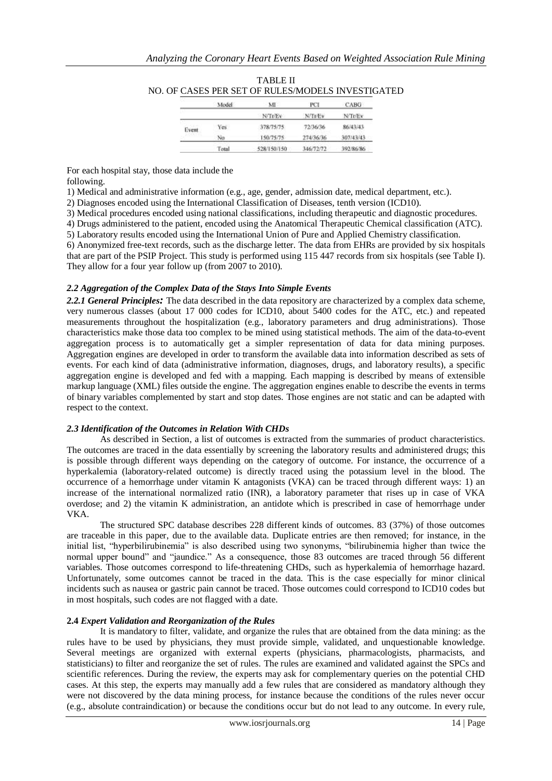|       | Model | ML            | PCI            | CABG          |
|-------|-------|---------------|----------------|---------------|
|       |       | <b>NCTOEV</b> | <b>N/Tr/Ev</b> | <b>N/TDEV</b> |
| Event | Yes:  | 378/75/75     | 72/36/36       | 86/43/43      |
|       | Na    | 150/75/75     | 274/36/36      | 307/43/43     |
|       | Total | 528/150/150   | 346/72/72      | 392/86/86     |

| <b>TABLE II</b>                                   |
|---------------------------------------------------|
| NO. OF CASES PER SET OF RULES/MODELS INVESTIGATED |

For each hospital stay, those data include the following.

2) Diagnoses encoded using the International Classification of Diseases, tenth version (ICD10).

3) Medical procedures encoded using national classifications, including therapeutic and diagnostic procedures.

4) Drugs administered to the patient, encoded using the Anatomical Therapeutic Chemical classification (ATC).

5) Laboratory results encoded using the International Union of Pure and Applied Chemistry classification.

6) Anonymized free-text records, such as the discharge letter. The data from EHRs are provided by six hospitals that are part of the PSIP Project. This study is performed using 115 447 records from six hospitals (see Table I). They allow for a four year follow up (from 2007 to 2010).

#### *2.2 Aggregation of the Complex Data of the Stays Into Simple Events*

*2.2.1 General Principles:* The data described in the data repository are characterized by a complex data scheme, very numerous classes (about 17 000 codes for ICD10, about 5400 codes for the ATC, etc.) and repeated measurements throughout the hospitalization (e.g., laboratory parameters and drug administrations). Those characteristics make those data too complex to be mined using statistical methods. The aim of the data-to-event aggregation process is to automatically get a simpler representation of data for data mining purposes. Aggregation engines are developed in order to transform the available data into information described as sets of events. For each kind of data (administrative information, diagnoses, drugs, and laboratory results), a specific aggregation engine is developed and fed with a mapping. Each mapping is described by means of extensible markup language (XML) files outside the engine. The aggregation engines enable to describe the events in terms of binary variables complemented by start and stop dates. Those engines are not static and can be adapted with respect to the context.

#### *2.3 Identification of the Outcomes in Relation With CHDs*

As described in Section, a list of outcomes is extracted from the summaries of product characteristics. The outcomes are traced in the data essentially by screening the laboratory results and administered drugs; this is possible through different ways depending on the category of outcome. For instance, the occurrence of a hyperkalemia (laboratory-related outcome) is directly traced using the potassium level in the blood. The occurrence of a hemorrhage under vitamin K antagonists (VKA) can be traced through different ways: 1) an increase of the international normalized ratio (INR), a laboratory parameter that rises up in case of VKA overdose; and 2) the vitamin K administration, an antidote which is prescribed in case of hemorrhage under VKA.

The structured SPC database describes 228 different kinds of outcomes. 83 (37%) of those outcomes are traceable in this paper, due to the available data. Duplicate entries are then removed; for instance, in the initial list, "hyperbilirubinemia" is also described using two synonyms, "bilirubinemia higher than twice the normal upper bound" and "jaundice." As a consequence, those 83 outcomes are traced through 56 different variables. Those outcomes correspond to life-threatening CHDs, such as hyperkalemia of hemorrhage hazard. Unfortunately, some outcomes cannot be traced in the data. This is the case especially for minor clinical incidents such as nausea or gastric pain cannot be traced. Those outcomes could correspond to ICD10 codes but in most hospitals, such codes are not flagged with a date.

#### **2.4** *Expert Validation and Reorganization of the Rules*

It is mandatory to filter, validate, and organize the rules that are obtained from the data mining: as the rules have to be used by physicians, they must provide simple, validated, and unquestionable knowledge. Several meetings are organized with external experts (physicians, pharmacologists, pharmacists, and statisticians) to filter and reorganize the set of rules. The rules are examined and validated against the SPCs and scientific references. During the review, the experts may ask for complementary queries on the potential CHD cases. At this step, the experts may manually add a few rules that are considered as mandatory although they were not discovered by the data mining process, for instance because the conditions of the rules never occur (e.g., absolute contraindication) or because the conditions occur but do not lead to any outcome. In every rule,

<sup>1)</sup> Medical and administrative information (e.g., age, gender, admission date, medical department, etc.).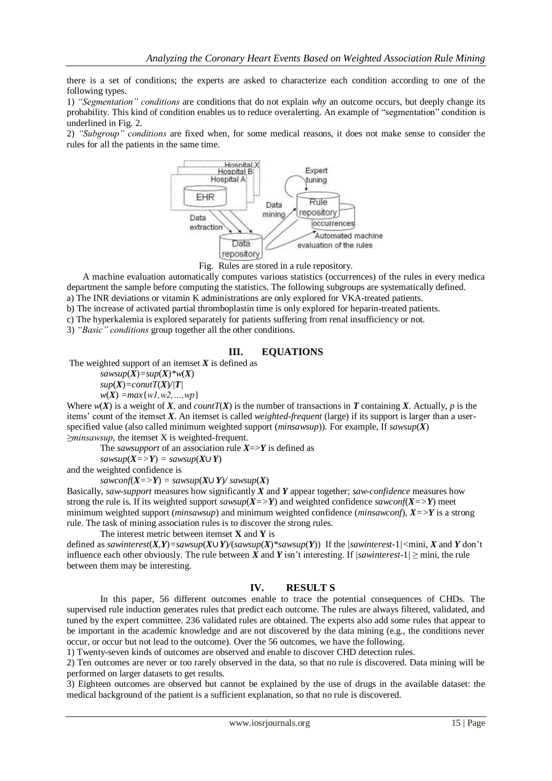there is a set of conditions; the experts are asked to characterize each condition according to one of the following types.

1) *"Segmentation" conditions* are conditions that do not explain *why* an outcome occurs, but deeply change its probability. This kind of condition enables us to reduce overalerting. An example of "segmentation" condition is underlined in Fig. 2.

2) "Subgroup" conditions are fixed when, for some medical reasons, it does not make sense to consider the rules for all the patients in the same time.



Fig. Rules are stored in a rule repository.

 A machine evaluation automatically computes various statistics (occurrences) of the rules in every medica department the sample before computing the statistics. The following subgroups are systematically defined. a) The INR deviations or vitamin K administrations are only explored for VKA-treated patients.

b) The increase of activated partial thromboplastin time is only explored for heparin-treated patients.

c) The hyperkalemia is explored separately for patients suffering from renal insufficiency or not.

3) *"Basic" conditions* group together all the other conditions.

### **III. EQUATIONS**

The weighted support of an itemset  $X$  is defined as

 $sawsup(X)=sup(X)*w(X)$  $sup(X) = countT(X)/|T|$  $w(X) = max{w1, w2, ..., wp}$ 

Where  $w(X)$  is a weight of X, and *countT(X)* is the number of transactions in T containing X. Actually, p is the items' count of the itemset *X*. An itemset is called *weighted-frequent* (large) if its support is larger than a userspecified value (also called minimum weighted support (*minsawsup*)). For example, If *sawsup*(*X*) *≥minsawsup*, the itemset X is weighted-frequent.

The *sawsupport* of an association rule *X*=>*Y* is defined as

 $sawsup(X = > Y) = sawsup(X \cup Y)$ 

and the weighted confidence is

 $sawconf(X = > Y) = sawsup(X \cup Y) / sawsup(X)$ 

Basically, *saw-support* measures how significantly *X* and *Y* appear together; *saw-confidence* measures how strong the rule is. If its weighted support  $sawsup(X = > Y)$  and weighted confidence  $sawconf(X = > Y)$  meet minimum weighted support (*minsawsup*) and minimum weighted confidence (*minsawconf*), *X=>Y* is a strong rule. The task of mining association rules is to discover the strong rules.

#### The interest metric between itemset **X** and **Y** is

defined as *sawinterest*(*X*,*Y*)=*sawsup*(*X*)*Y*/(*sawsup*(*X*)<sup>\*</sup>*sawsup*(*Y*)) If the /*sawinterest*-1/<mini, *X* and *Y* don't influence each other obviously. The rule between  $\hat{X}$  and  $\hat{Y}$  isn't interesting. If *|sawinterest-1/*  $\ge$  mini, the rule between them may be interesting.

## **IV. RESULT S**

In this paper, 56 different outcomes enable to trace the potential consequences of CHDs. The supervised rule induction generates rules that predict each outcome. The rules are always filtered, validated, and tuned by the expert committee. 236 validated rules are obtained. The experts also add some rules that appear to be important in the academic knowledge and are not discovered by the data mining (e.g., the conditions never occur, or occur but not lead to the outcome). Over the 56 outcomes, we have the following.

1) Twenty-seven kinds of outcomes are observed and enable to discover CHD detection rules.

2) Ten outcomes are never or too rarely observed in the data, so that no rule is discovered. Data mining will be performed on larger datasets to get results.

3) Eighteen outcomes are observed but cannot be explained by the use of drugs in the available dataset: the medical background of the patient is a sufficient explanation, so that no rule is discovered.